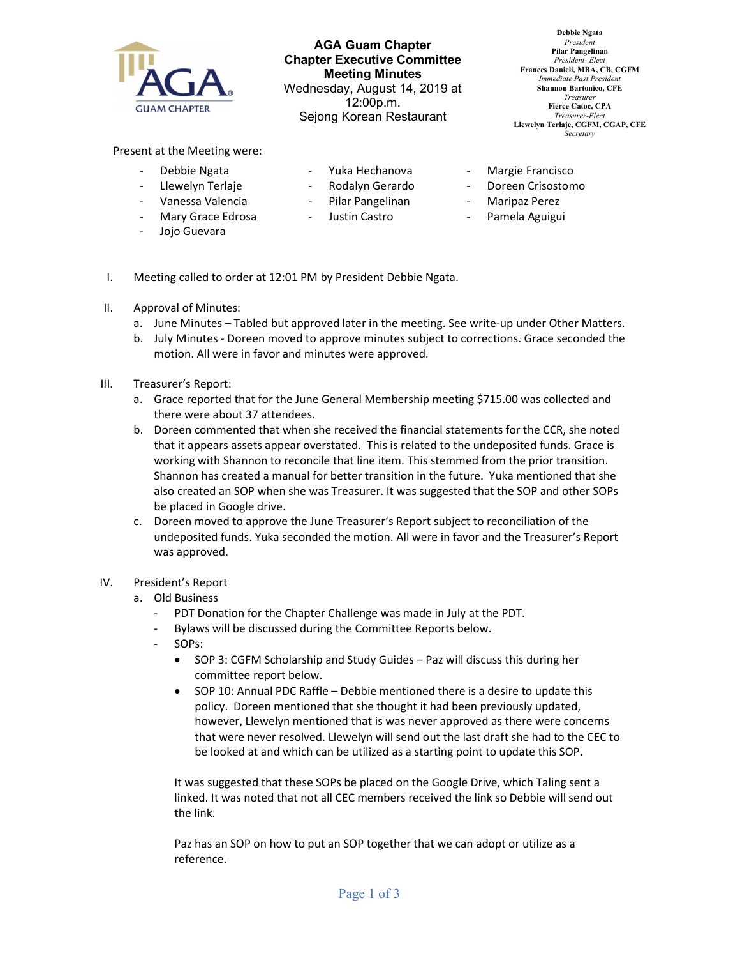

AGA Guam Chapter Chapter Executive Committee Meeting Minutes Wednesday, August 14, 2019 at 12:00p.m. Sejong Korean Restaurant

Debbie Ngata President Pilar Pangelinan President- Elect Frances Danieli, MBA, CB, CGFM Immediate Past Presiden Shannon Bartonico, CFE Treasurer Fierce Catoc, CPA Treasurer-Elect Llewelyn Terlaje, CGFM, CGAP, CFE **Secretary** 

Present at the Meeting were:

- Debbie Ngata
- Llewelyn Terlaje
- Yuka Hechanova
- Rodalyn Gerardo
- 
- Vanessa Valencia Mary Grace Edrosa
- Justin Castro
- Jojo Guevara
- Pilar Pangelinan
- 
- Margie Francisco
- Doreen Crisostomo
- Maripaz Perez
- Pamela Aguigui
- I. Meeting called to order at 12:01 PM by President Debbie Ngata.

## II. Approval of Minutes:

- a. June Minutes Tabled but approved later in the meeting. See write-up under Other Matters.
- b. July Minutes Doreen moved to approve minutes subject to corrections. Grace seconded the motion. All were in favor and minutes were approved.
- III. Treasurer's Report:
	- a. Grace reported that for the June General Membership meeting \$715.00 was collected and there were about 37 attendees.
	- b. Doreen commented that when she received the financial statements for the CCR, she noted that it appears assets appear overstated. This is related to the undeposited funds. Grace is working with Shannon to reconcile that line item. This stemmed from the prior transition. Shannon has created a manual for better transition in the future. Yuka mentioned that she also created an SOP when she was Treasurer. It was suggested that the SOP and other SOPs be placed in Google drive.
	- c. Doreen moved to approve the June Treasurer's Report subject to reconciliation of the undeposited funds. Yuka seconded the motion. All were in favor and the Treasurer's Report was approved.
- IV. President's Report
	- a. Old Business
		- PDT Donation for the Chapter Challenge was made in July at the PDT.
		- Bylaws will be discussed during the Committee Reports below.
		- SOPs:
			- SOP 3: CGFM Scholarship and Study Guides Paz will discuss this during her committee report below.
			- SOP 10: Annual PDC Raffle Debbie mentioned there is a desire to update this policy. Doreen mentioned that she thought it had been previously updated, however, Llewelyn mentioned that is was never approved as there were concerns that were never resolved. Llewelyn will send out the last draft she had to the CEC to be looked at and which can be utilized as a starting point to update this SOP.

It was suggested that these SOPs be placed on the Google Drive, which Taling sent a linked. It was noted that not all CEC members received the link so Debbie will send out the link.

Paz has an SOP on how to put an SOP together that we can adopt or utilize as a reference.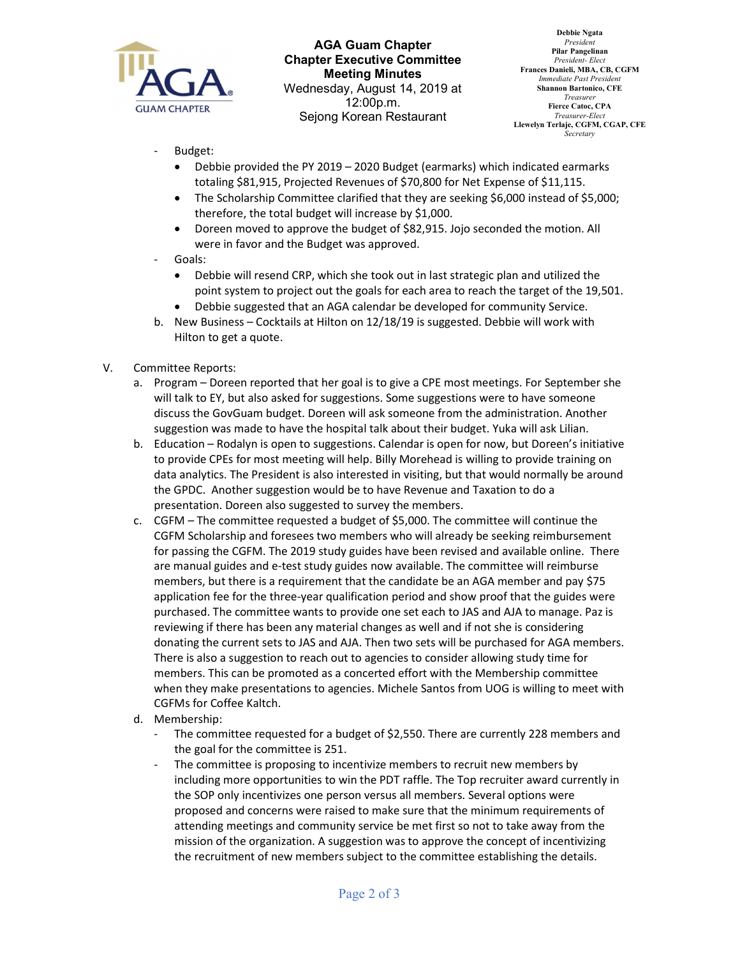

AGA Guam Chapter Chapter Executive Committee Meeting Minutes Wednesday, August 14, 2019 at 12:00p.m. Sejong Korean Restaurant

Debbie Ngata President Pilar Pangelinan President- Elect Frances Danieli, MBA, CB, CGFM Immediate Past Presiden Shannon Bartonico, CFE Treasurer Fierce Catoc, CPA Treasurer-Elect Llewelyn Terlaje, CGFM, CGAP, CFE **Secretary** 

- Budget:
	- Debbie provided the PY 2019 2020 Budget (earmarks) which indicated earmarks totaling \$81,915, Projected Revenues of \$70,800 for Net Expense of \$11,115.
	- The Scholarship Committee clarified that they are seeking \$6,000 instead of \$5,000; therefore, the total budget will increase by \$1,000.
	- Doreen moved to approve the budget of \$82,915. Jojo seconded the motion. All were in favor and the Budget was approved.
- Goals:
	- Debbie will resend CRP, which she took out in last strategic plan and utilized the point system to project out the goals for each area to reach the target of the 19,501.
	- Debbie suggested that an AGA calendar be developed for community Service.
- b. New Business Cocktails at Hilton on 12/18/19 is suggested. Debbie will work with Hilton to get a quote.
- V. Committee Reports:
	- a. Program Doreen reported that her goal is to give a CPE most meetings. For September she will talk to EY, but also asked for suggestions. Some suggestions were to have someone discuss the GovGuam budget. Doreen will ask someone from the administration. Another suggestion was made to have the hospital talk about their budget. Yuka will ask Lilian.
	- b. Education Rodalyn is open to suggestions. Calendar is open for now, but Doreen's initiative to provide CPEs for most meeting will help. Billy Morehead is willing to provide training on data analytics. The President is also interested in visiting, but that would normally be around the GPDC. Another suggestion would be to have Revenue and Taxation to do a presentation. Doreen also suggested to survey the members.
	- c. CGFM The committee requested a budget of \$5,000. The committee will continue the CGFM Scholarship and foresees two members who will already be seeking reimbursement for passing the CGFM. The 2019 study guides have been revised and available online. There are manual guides and e-test study guides now available. The committee will reimburse members, but there is a requirement that the candidate be an AGA member and pay \$75 application fee for the three-year qualification period and show proof that the guides were purchased. The committee wants to provide one set each to JAS and AJA to manage. Paz is reviewing if there has been any material changes as well and if not she is considering donating the current sets to JAS and AJA. Then two sets will be purchased for AGA members. There is also a suggestion to reach out to agencies to consider allowing study time for members. This can be promoted as a concerted effort with the Membership committee when they make presentations to agencies. Michele Santos from UOG is willing to meet with CGFMs for Coffee Kaltch.
	- d. Membership:
		- The committee requested for a budget of \$2,550. There are currently 228 members and the goal for the committee is 251.
		- The committee is proposing to incentivize members to recruit new members by including more opportunities to win the PDT raffle. The Top recruiter award currently in the SOP only incentivizes one person versus all members. Several options were proposed and concerns were raised to make sure that the minimum requirements of attending meetings and community service be met first so not to take away from the mission of the organization. A suggestion was to approve the concept of incentivizing the recruitment of new members subject to the committee establishing the details.